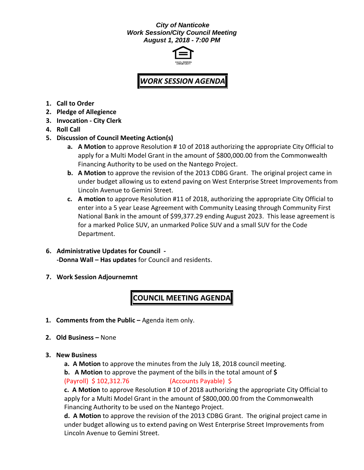## *City of Nanticoke Work Session/City Council Meeting August 1, 2018 - 7:00 PM*



## *WORK SESSION AGENDA*

- **1. Call to Order**
- **2. Pledge of Allegience**
- **3. Invocation - City Clerk**
- **4. Roll Call**
- **5. Discussion of Council Meeting Action(s)**
	- **a. A Motion** to approve Resolution # 10 of 2018 authorizing the appropriate City Official to apply for a Multi Model Grant in the amount of \$800,000.00 from the Commonwealth Financing Authority to be used on the Nantego Project.
	- **b. A Motion** to approve the revision of the 2013 CDBG Grant. The original project came in under budget allowing us to extend paving on West Enterprise Street Improvements from Lincoln Avenue to Gemini Street.
	- **c. A motion** to approve Resolution #11 of 2018, authorizing the appropriate City Official to enter into a 5 year Lease Agreement with Community Leasing through Community First National Bank in the amount of \$99,377.29 ending August 2023. This lease agreement is for a marked Police SUV, an unmarked Police SUV and a small SUV for the Code Department.
- **6. Administrative Updates for Council - -Donna Wall – Has updates** for Council and residents.
- **7. Work Session Adjournemnt**

## **COUNCIL MEETING AGENDA**

- **1. Comments from the Public -** Agenda item only.
- **2. Old Business –** None
- **3. New Business**
	- **a. A Motion** to approve the minutes from the July 18, 2018 council meeting.
	- **b. A Motion** to approve the payment of the bills in the total amount of **\$**

(Payroll) \$ 102,312.76 (Accounts Payable) \$

**c. A Motion** to approve Resolution # 10 of 2018 authorizing the appropriate City Official to apply for a Multi Model Grant in the amount of \$800,000.00 from the Commonwealth Financing Authority to be used on the Nantego Project.

**d. A Motion** to approve the revision of the 2013 CDBG Grant. The original project came in under budget allowing us to extend paving on West Enterprise Street Improvements from Lincoln Avenue to Gemini Street.